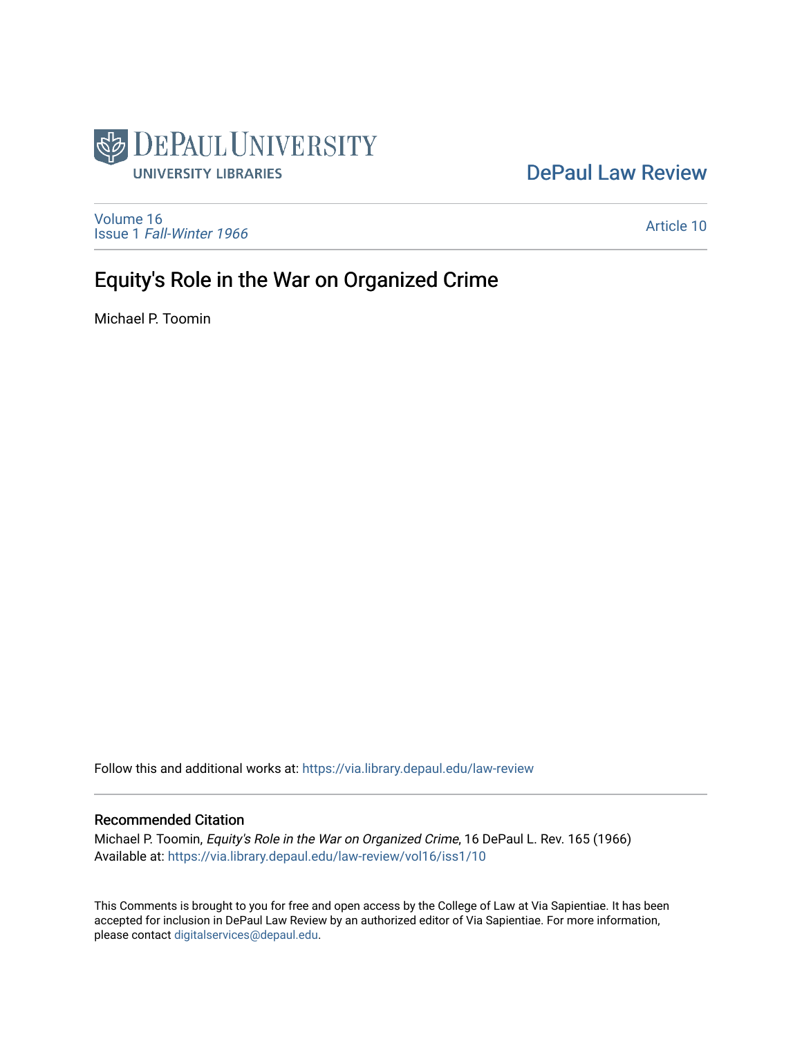

# [DePaul Law Review](https://via.library.depaul.edu/law-review)

[Volume 16](https://via.library.depaul.edu/law-review/vol16) Issue 1 [Fall-Winter 1966](https://via.library.depaul.edu/law-review/vol16/iss1)

[Article 10](https://via.library.depaul.edu/law-review/vol16/iss1/10) 

# Equity's Role in the War on Organized Crime

Michael P. Toomin

Follow this and additional works at: [https://via.library.depaul.edu/law-review](https://via.library.depaul.edu/law-review?utm_source=via.library.depaul.edu%2Flaw-review%2Fvol16%2Fiss1%2F10&utm_medium=PDF&utm_campaign=PDFCoverPages) 

## Recommended Citation

Michael P. Toomin, Equity's Role in the War on Organized Crime, 16 DePaul L. Rev. 165 (1966) Available at: [https://via.library.depaul.edu/law-review/vol16/iss1/10](https://via.library.depaul.edu/law-review/vol16/iss1/10?utm_source=via.library.depaul.edu%2Flaw-review%2Fvol16%2Fiss1%2F10&utm_medium=PDF&utm_campaign=PDFCoverPages)

This Comments is brought to you for free and open access by the College of Law at Via Sapientiae. It has been accepted for inclusion in DePaul Law Review by an authorized editor of Via Sapientiae. For more information, please contact [digitalservices@depaul.edu.](mailto:digitalservices@depaul.edu)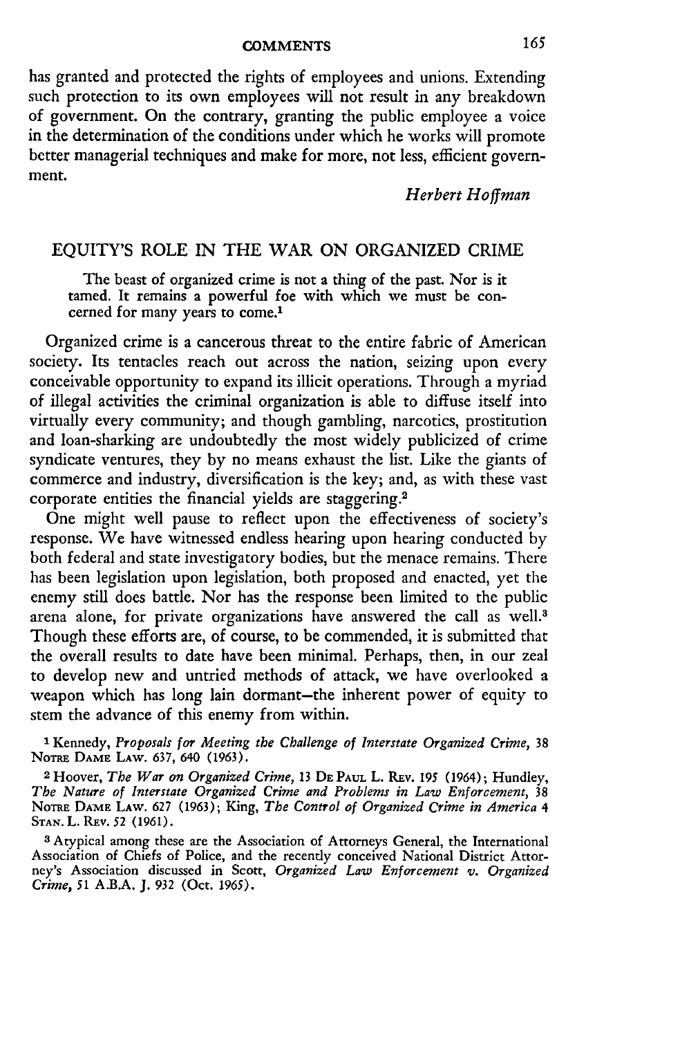#### **COMMENTS**

has granted and protected the rights of employees and unions. Extending such protection to its own employees will not result in any breakdown of government. On the contrary, granting the public employee a voice in the determination of the conditions under which he works will promote better managerial techniques and make for more, not less, efficient government.

### *Herbert Hoffman*

### EQUITY'S ROLE IN THE WAR ON ORGANIZED CRIME

The beast of organized crime is not a thing of the past. Nor is it tamed. It remains a powerful foe with which we must be concerned for many years to come.'

Organized crime is a cancerous threat to the entire fabric of American society. Its tentacles reach out across the nation, seizing upon every conceivable opportunity to expand its illicit operations. Through a myriad of illegal activities the criminal organization is able to diffuse itself into virtually every community; and though gambling, narcotics, prostitution and loan-sharking are undoubtedly the most widely publicized of crime syndicate ventures, they by no means exhaust the list. Like the giants of commerce and industry, diversification is the key; and, as with these vast corporate entities the financial yields are staggering.<sup>2</sup>

One might well pause to reflect upon the effectiveness of society's response. We have witnessed endless hearing upon hearing conducted by both federal and state investigatory bodies, but the menace remains. There has been legislation upon legislation, both proposed and enacted, yet the enemy still does battle. Nor has the response been limited to the public arena alone, for private organizations have answered the call as well.<sup>3</sup> Though these efforts are, of course, to be commended, it is submitted that the overall results to date have been minimal. Perhaps, then, in our zeal to develop new and untried methods of attack, we have overlooked a weapon which has long lain dormant-the inherent power of equity to stem the advance of this enemy from within.

**1** Kennedy, *Proposals for Meeting the Challenge of Interstate Organized Crime,* 38 **NOTRE** DAME LAW. 637, 640 (1963).

**2** Hoover, *The War on Organized Crime,* 13 DE PAUL L. REv. **195** (1964); Hundley, *The Nature of Interstate Organized Crime and Problems in Law Enforcement,* 38 **NoTRE DAME** LAW. 627 (1963); King, *The Control of Organized Crime in America 4* **STAN.** L. REv. *52* (1961).

<sup>3</sup> Atypical among these are the Association of Attorneys General, the International Association of Chiefs of Police, and the recently conceived National District Attorney's Association discussed in Scott, *Organized Law Enforcement v. Organized Crime,* 51 A.B.A. J. 932 (Oct. **1965).**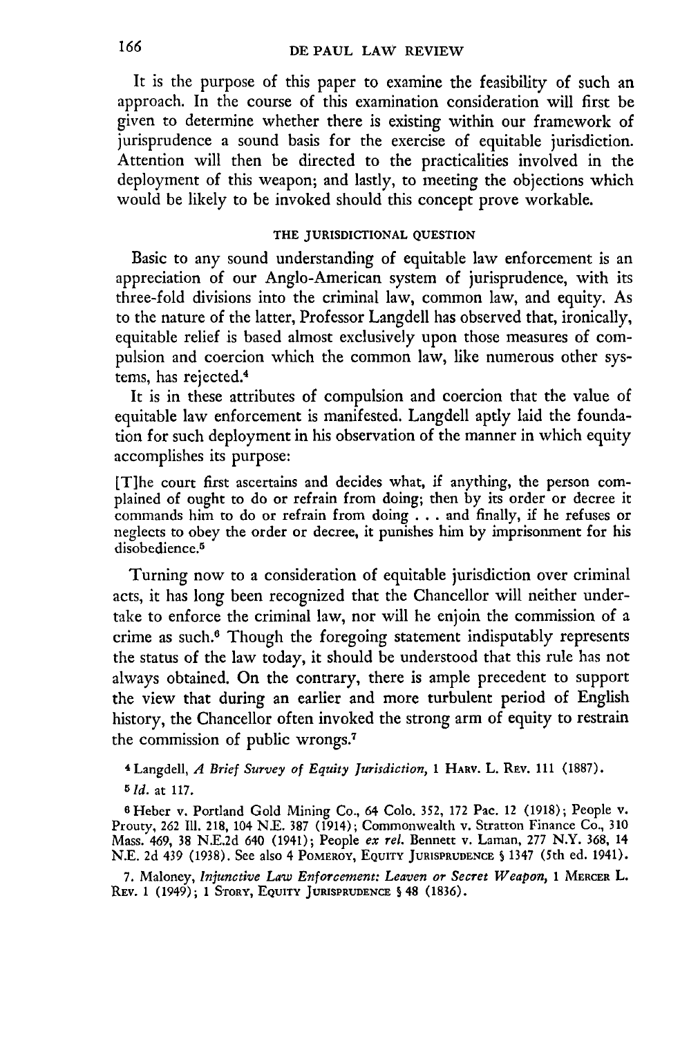It is the purpose of this paper to examine the feasibility of such an approach. In the course of this examination consideration will first be given to determine whether there is existing within our framework of jurisprudence a sound basis for the exercise of equitable jurisdiction. Attention will then be directed to the practicalities involved in the deployment of this weapon; and lastly, to meeting the objections which would be likely to be invoked should this concept prove workable.

#### **THE JURISDICTIONAL QUESTION**

Basic to any sound understanding of equitable law enforcement is an appreciation of our Anglo-American system of jurisprudence, with its three-fold divisions into the criminal law, common law, and equity. As to the nature of the latter, Professor Langdell has observed that, ironically, equitable relief is based almost exclusively upon those measures of compulsion and coercion which the common law, like numerous other systems, has rejected.4

It is in these attributes of compulsion and coercion that the value of equitable law enforcement is manifested. Langdell aptly laid the foundation for such deployment in his observation of the manner in which equity accomplishes its purpose:

[T]he court first ascertains and decides what, if anything, the person complained of ought to do or refrain from doing; then by its order or decree it commands him to do or refrain from doing . . . and finally, if he refuses or neglects to obey the order or decree, it punishes him by imprisonment for his disobedience.<sup>5</sup>

Turning now to a consideration of equitable jurisdiction over criminal acts, it has long been recognized that the Chancellor will neither undertake to enforce the criminal law, nor will he enjoin the commission of a crime as such.6 Though the foregoing statement indisputably represents the status of the law today, it should be understood that this rule has not always obtained. On the contrary, there is ample precedent to support the view that during an earlier and more turbulent period of English history, the Chancellor often invoked the strong arm of equity to restrain the commission of public wrongs.<sup>7</sup>

**<sup>4</sup>**Langdell, *A Brief Survey of Equity Jurisdiction,* **1 HARV. L. REv. 111 (1887).** *5 Id.* at 117.

<sup>6</sup> Heber v. Portland Gold Mining Co., 64 Colo. 352, 172 Pac. 12 (1918); People v. Prouty, **262** Ill. **218,** 104 N.E. 387 (1914); Commonwealth v. Stratton Finance Co., 310 Mass. 469, 38 N.E.2d 640 (1941); People *ex rel.* Bennett v. Laman, 277 N.Y. 368, 14 N.E. 2d 439 (1938). See also 4 POMEROY, **EQUITY JURISPRUDENCE S** 1347 (5th ed. 1941).

**7.** Maloney, *Injunctive Law Enforcement: Leaven or Secret Weapon,* **1 MERCER** L. REv. 1 (1949); 1 STORY, **EQUITY JURISPRUDENCE S** 48 (1836).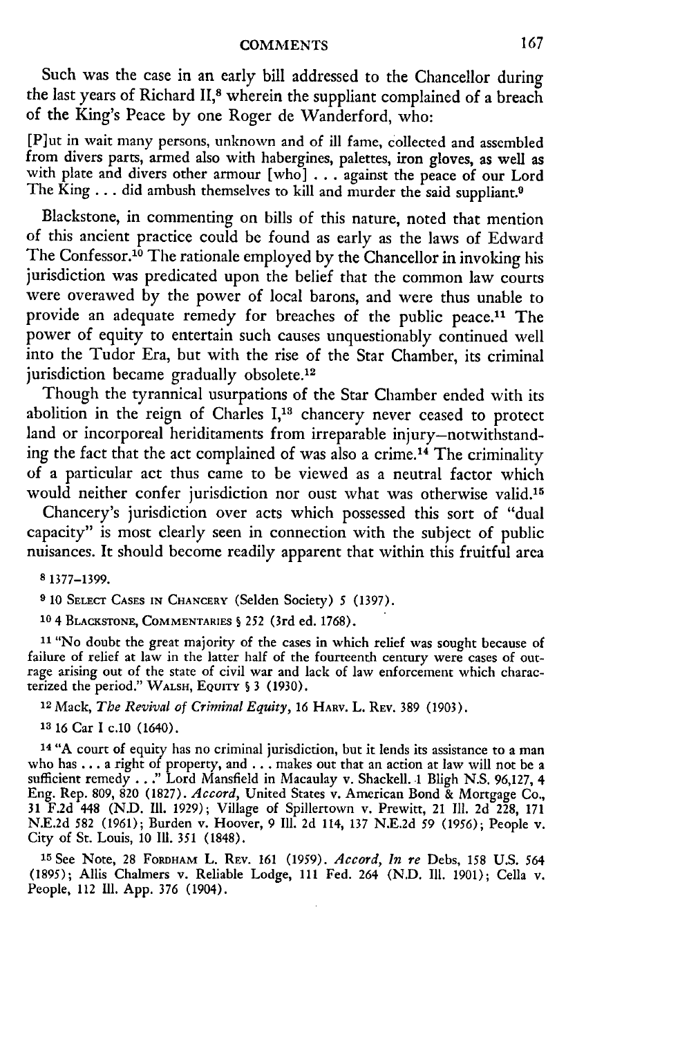Such was the case in an early bill addressed to the Chancellor during the last years of Richard **11,8** wherein the suppliant complained of a breach of the King's Peace **by** one Roger de Wanderford, who:

[P]ut in wait many persons, unknown and of ill fame, collected and assembled from divers parts, armed also with habergines, palettes, iron gloves, as well as with plate and divers other armour [who] . . . against the peace of our Lord The King... did ambush themselves to kill and murder the said suppliant.<sup>9</sup>

Blackstone, in commenting on bills of this nature, noted that mention of this ancient practice could be found as early as the laws of Edward The Confessor.<sup>10</sup> The rationale employed by the Chancellor in invoking his jurisdiction was predicated upon the belief that the common law courts were overawed by the power of local barons, and were thus unable to provide an adequate remedy for breaches of the public peace.<sup>11</sup> The power of equity to entertain such causes unquestionably continued well into the Tudor Era, but with the rise of the Star Chamber, its criminal jurisdiction became gradually obsolete.<sup>12</sup>

Though the tyrannical usurpations of the Star Chamber ended with its abolition in the reign of Charles I,<sup>13</sup> chancery never ceased to protect land or incorporeal heriditaments from irreparable injury-notwithstanding the fact that the act complained of was also a crime. 14 The criminality of a particular act thus came to be viewed as a neutral factor which would neither confer jurisdiction nor oust what was otherwise valid.<sup>15</sup>

Chancery's jurisdiction over acts which possessed this sort of "dual capacity" is most clearly seen in connection with the subject of public nuisances. It should become readily apparent that within this fruitful area

**8** 1377-1399.

**9** 10 **SELECT CASES IN** CHANCERY (Selden Society) 5 (1397).

**10 4 BLACKSTONE, COMMENTARIES S** 252 (3rd ed. 1768).

**<sup>11</sup>**"No doubt the great majority of the cases in which relief was sought because of failure of relief at law in the latter half of the fourteenth century were cases of outrage arising out of the state of civil war and lack of law enforcement which characterized the period." WALSH, **EQUITY 5** 3 (1930).

**<sup>12</sup>**Mack, *The Revival of Criminal Equity, 16* HARV. L. REV. 389 (1903).

**<sup>13</sup>**16 Car **I** c.10 (1640).

<sup>14</sup> "A court of equity has no criminal jurisdiction, but it lends its assistance to a man who has ... a right of property, and ... makes out that an action at law will not be a sufficient remedy **.. ."** Lord Mansfield in Macaulay v. Shackell. **.1** Bligh **N.S. 96,127,** 4 Eng. Rep. **809, 820 (1827).** *Accord,* United States v. American Bond **&** Mortgage Co., **31 F.2d** 448 **(N.D. Il. 1929);** Village of Spillertown v. Prewitt, 21 **111. 2d 228, 171 N.E.2d 582 (1961);** Burden v. Hoover, **9 Ill. 2d** 114, **137 N.E.2d 59 (1956);** People v. City of St. Louis, **10 Ill. 351 (1848).**

**<sup>15</sup>**See Note, 28 **FORDHAM** L. REV. 161 (1959). *Accord, In re* Debs, 158 **U.S.** 564 **(1895);** Allis Chalmers v. Reliable Lodge, **111** Fed. 264 **(N.D. Ill. 1901);** Cella v. People, 112 **IIl. App. 376** (1904).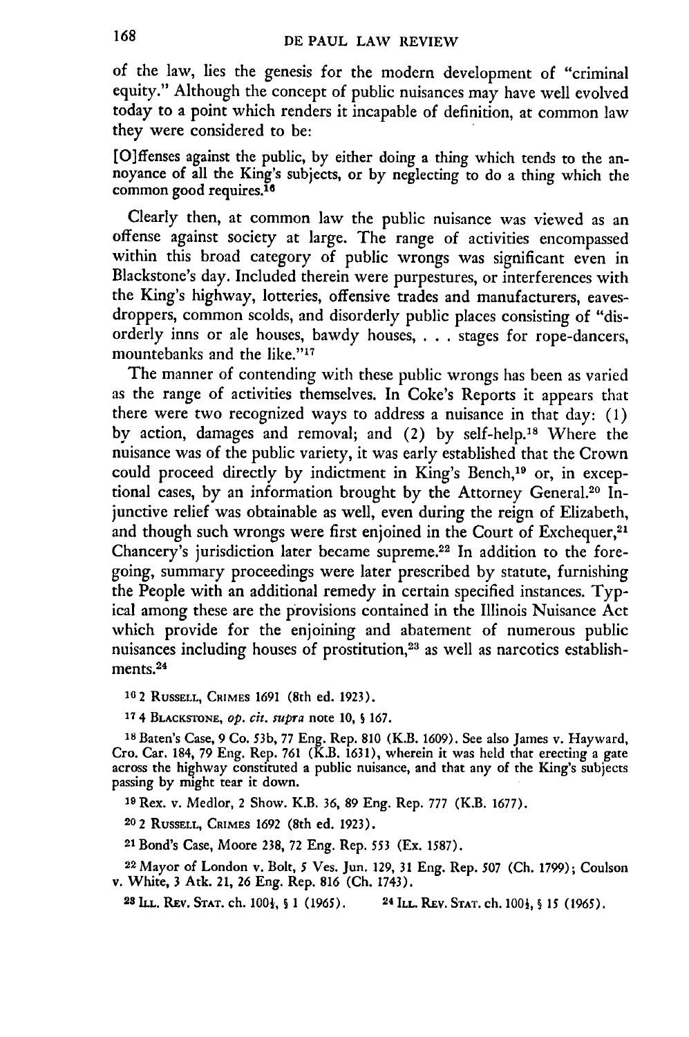of the law, lies the genesis for the modern development of "criminal equity." Although the concept of public nuisances may have well evolved today to a point which renders it incapable of definition, at common law they were considered to be:

[O]ffenses against the public, by either doing a thing which tends to the annoyance of all the King's subjects, or by neglecting to do a thing which the common good requires.<sup>16</sup>

Clearly then, at common law the public nuisance was viewed as an offense against society at large. The range of activities encompassed within this broad category of public wrongs was significant even in Blackstone's day. Included therein were purpestures, or interferences with the King's highway, lotteries, offensive trades and manufacturers, eavesdroppers, common scolds, and disorderly public places consisting of "disorderly inns or ale houses, bawdy houses, ... stages for rope-dancers, mountebanks and the like."<sup>17</sup>

The manner of contending with these public wrongs has been as varied as the range of activities themselves. In Coke's Reports it appears that there were two recognized ways to address a nuisance in that day: (1) by action, damages and removal; and (2) by self-help.<sup>18</sup> Where the nuisance was of the public variety, it was early established that the Crown could proceed directly by indictment in King's Bench,<sup>19</sup> or, in exceptional cases, by an information brought by the Attorney General.<sup>20</sup> Injunctive relief was obtainable as well, even during the reign of Elizabeth, and though such wrongs were first enjoined in the Court of Exchequer,<sup>21</sup> Chancery's jurisdiction later became supreme.<sup>22</sup> In addition to the foregoing, summary proceedings were later prescribed by statute, furnishing the People with an additional remedy in certain specified instances. Typical among these are the provisions contained in the Illinois Nuisance Act which provide for the enjoining and abatement of numerous public nuisances including houses of prostitution,23 as well as narcotics establishments.<sup>24</sup>

**16** 2 **RuSSELL, CRIMES** 1691 (8th ed. 1923).

**<sup>17</sup>**4 **BLACKSTONE,** *op. cit. supra* note 10, **S** 167.

<sup>18</sup> Baten's Case, 9 Co. 53b, 77 Eng. Rep. 810 (K.B. 1609). See also James v. Hayward, Cro. Car. 184, 79 Eng. Rep. 761 (K.B. 1631), wherein it was held that erecting a gate across the highway constituted a public nuisance, passing by might tear it down.

**<sup>19</sup>**Rex. v. Medlor, 2 Show. K.B. **36,** 89 Eng. Rep. 777 (K.B. 1677).

**<sup>20</sup>**2 **RUSSELL, CRIMES 1692** (8th ed. **1923).**

<sup>21</sup>Bond's Case, Moore 238, 72 Eng. Rep. **553** (Ex. 1587).

<sup>2</sup> 2 Mayor of London v. Bolt, 5 Ves. Jun. 129, **31** Eng. Rep. 507 (Ch. 1799); Coulson v. White, **3** Atk. 21, 26 Eng. Rep. 816 (Ch. 1743).

**28 ILL. REV. STAT. ch. 1001,** § **1 (1965). <sup>2</sup> <sup>4</sup> ILL. REv. STAT. ch. 100i, § 15** (1965).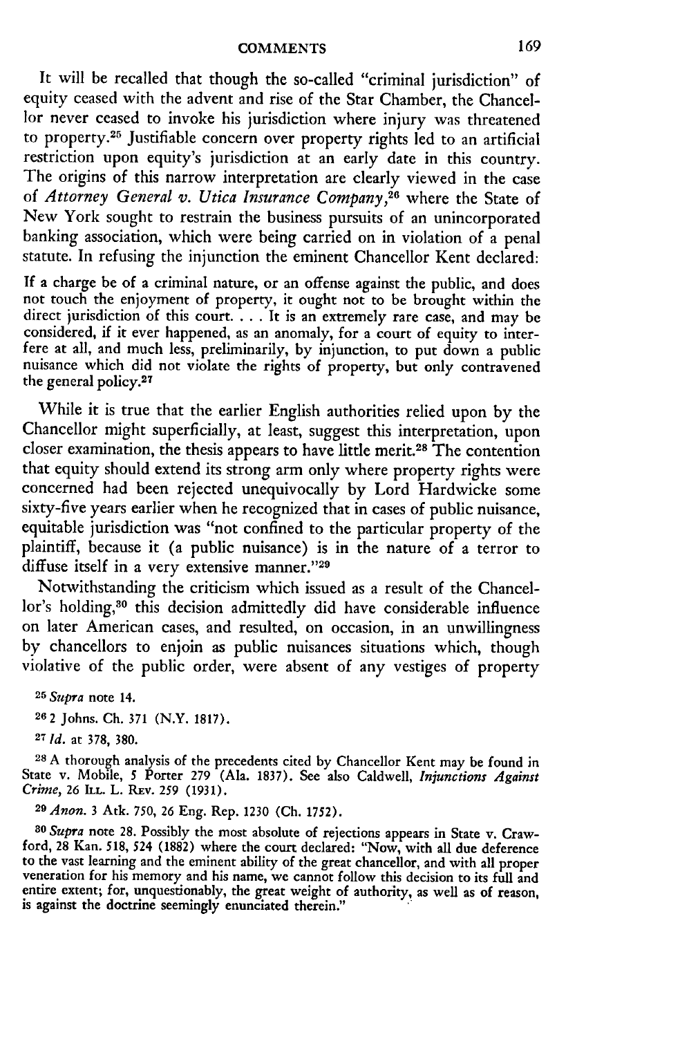It will be recalled that though the so-called "criminal jurisdiction" of equity ceased with the advent and rise of the Star Chamber, the Chancellor never ceased to invoke his jurisdiction where injury was threatened to property.25 Justifiable concern over property rights led to an artificial restriction upon equity's jurisdiction at an early date in this country. The origins of this narrow interpretation are clearly viewed in the case of *Attorney General v. Utica Insurance Company,"6* where the State of New York sought to restrain the business pursuits of an unincorporated banking association, which were being carried on in violation of a penal statute. In refusing the injunction the eminent Chancellor Kent declared:

If a charge be of a criminal nature, or an offense against the public, and does not touch the enjoyment of property, it ought not to be brought within the direct jurisdiction of this court **....** It is an extremely rare case, and may be considered, if it ever happened, as an anomaly, for a court of equity to interfere at all, and much less, preliminarily, by injunction, to put down a public nuisance which did not violate the rights of property, but only contravened the general policy.27

While it is true that the earlier English authorities relied upon by the Chancellor might superficially, at least, suggest this interpretation, upon closer examination, the thesis appears to have little merit.28 The contention that equity should extend its strong arm only where property rights were concerned had been rejected unequivocally by Lord Hardwicke some sixty-five years earlier when he recognized that in cases of public nuisance, equitable jurisdiction was "not confined to the particular property of the plaintiff, because it (a public nuisance) is in the nature of a terror to diffuse itself in a very extensive manner."29

Notwithstanding the criticism which issued as a result of the Chancellor's holding,<sup>30</sup> this decision admittedly did have considerable influence on later American cases, and resulted, on occasion, in an unwillingness by chancellors to enjoin as public nuisances situations which, though violative of the public order, were absent of any vestiges of property

<sup>25</sup>*Supra* note 14.

**26** 2 Johns. **Ch.** 371 (N.Y. 1817).

*27 Id.* at 378, 380.

**28 A** thorough analysis of the precedents cited by Chancellor Kent may be found in State v. Mobile, **5** Porter 279 (Ala. 1837). See also Caldwell, *Injunctions Against Crime,* 26 ILL. L. REv. **259** (1931).

**<sup>29</sup>***Anon.* 3 Atk. 750, 26 Eng. Rep. 1230 **(Ch.** 1752).

*80 Supra* note 28. Possibly the most absolute of rejections appears in State v. Crawford, 28 Kan. 518, *524* (1882) where the court declared: "Now, with all due deference to the vast learning and the eminent ability of the great chancellor, and with all proper<br>veneration for his memory and his name, we cannot follow this decision to its full and entire extent; for, unquestionably, the great weight of authority, as well as of reason, is against the doctrine seemingly enunciated therein."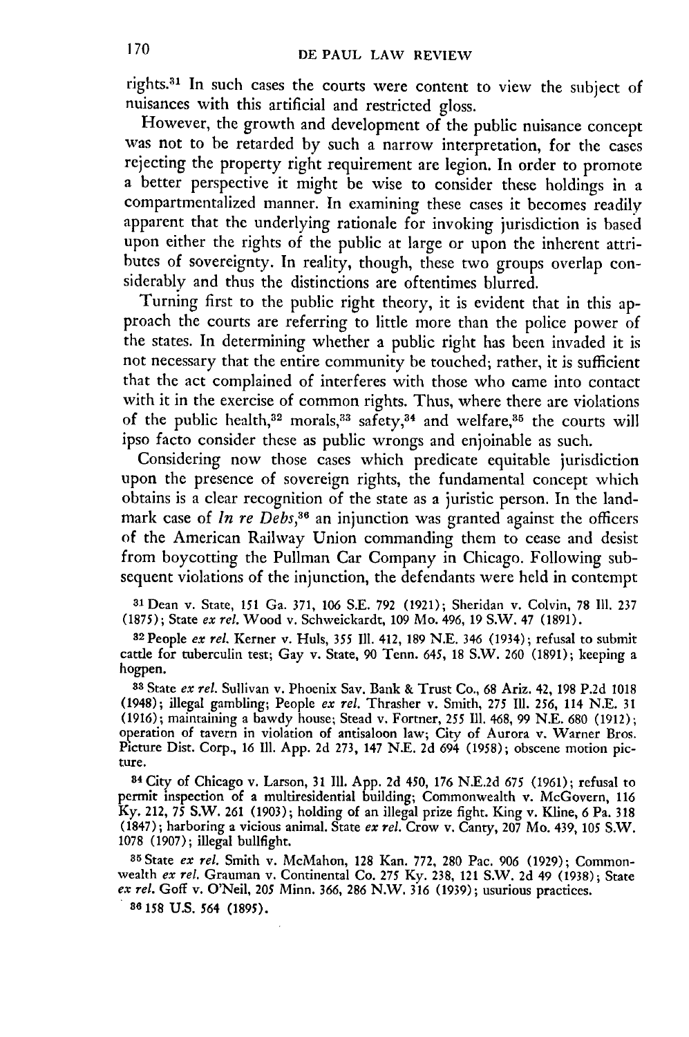rights.<sup>31</sup> In such cases the courts were content to view the subject of nuisances with this artificial and restricted gloss.

However, the growth and development of the public nuisance concept was not to be retarded by such a narrow interpretation, for the cases rejecting the property right requirement are legion. In order to promote a better perspective it might be wise to consider these holdings in a compartmentalized manner. In examining these cases it becomes readily apparent that the underlying rationale for invoking jurisdiction is based upon either the rights of the public at large or upon the inherent attributes of sovereignty. In reality, though, these two groups overlap considerably and thus the distinctions are oftentimes blurred.

Turning first to the public right theory, it is evident that in this approach the courts are referring to little more than the police power of the states. In determining whether a public right has been invaded it is not necessary that the entire community be touched; rather, it is sufficient that the act complained of interferes with those who came into contact with it in the exercise of common rights. Thus, where there are violations of the public health,<sup>32</sup> morals,<sup>33</sup> safety,<sup>34</sup> and welfare,<sup>35</sup> the courts will ipso facto consider these as public wrongs and enjoinable as such.

Considering now those cases which predicate equitable jurisdiction upon the presence of sovereign rights, the fundamental concept which obtains is a clear recognition of the state as a juristic person. In the landmark case of *In re Debs,36* an injunction was granted against the officers of the American Railway Union commanding them to cease and desist from boycotting the Pullman Car Company in Chicago. Following subsequent violations of the injunction, the defendants were held in contempt

31Dean v. State, **151** Ga. 371, 106 S.E. 792 **(1921);** Sheridan v. Colvin, 78 **111.** <sup>237</sup> (1875); State *ex rel.* Wood v. Schweickardt, 109 Mo. 496, 19 S.W. 47 (1891).

**<sup>32</sup>**People *ex rel.* Kerner v. Huls, *355* Il1. 412, 189 N.E. 346 (1934); refusal to submit cattle for tuberculin test; Gay v. State, 90 Tenn. *645,* 18 S.W. 260 (1891); keeping a hogpen.

**<sup>33</sup>**State *ex rel.* Sullivan v. Phoenix Say. Bank & Trust Co., 68 Ariz. 42, 198 P.2d 1018 (1948); illegal gambling; People *ex rel.* Thrasher v. Smith, 275 Ill. 256, 114 N.E. 31 (1916); maintaining a bawdy house; Stead v. Fortner, *255* **111.** 468, 99 N.E. 680 (1912); operation of tavern in violation of antisaloon law; City of Aurora v. Warner Bros. Picture Dist. Corp., 16 Ill. App. 2d 273, 147 N.E. 2d 694 (1958); obscene motion picture.

**<sup>84</sup>**City of Chicago v. Larson, 31 **111.** App. **2d** 450, 176 N.E.2d *675* (1961); refusal to permit inspection of a multiresidential building; Commonwealth v. McGovern, 116 Ky. 212, *75* S.W. 261 (1903); holding of an illegal prize fight. King v. Kline, 6 Pa. 318 (1847); harboring a vicious animal. State *ex rel.* Crow v. Canty, 207 Mo. 439, 105 S.W. 1078 (1907); illegal bullfight.

**35** State *ex rel.* Smith v. McMahon, 128 Kan. 772, 280 Pac. 906 (1929); Commonwealth *ex rel.* Grauman v. Continental Co. **275** Ky. 238, 121 S.W. 2d 49 (1938); State *ex rel.* Goff v. O'Neil, 205 Minn. 366, 286 N.W. 316 (1939); usurious practices.

**86 158 U.S.** *564* **(1895).**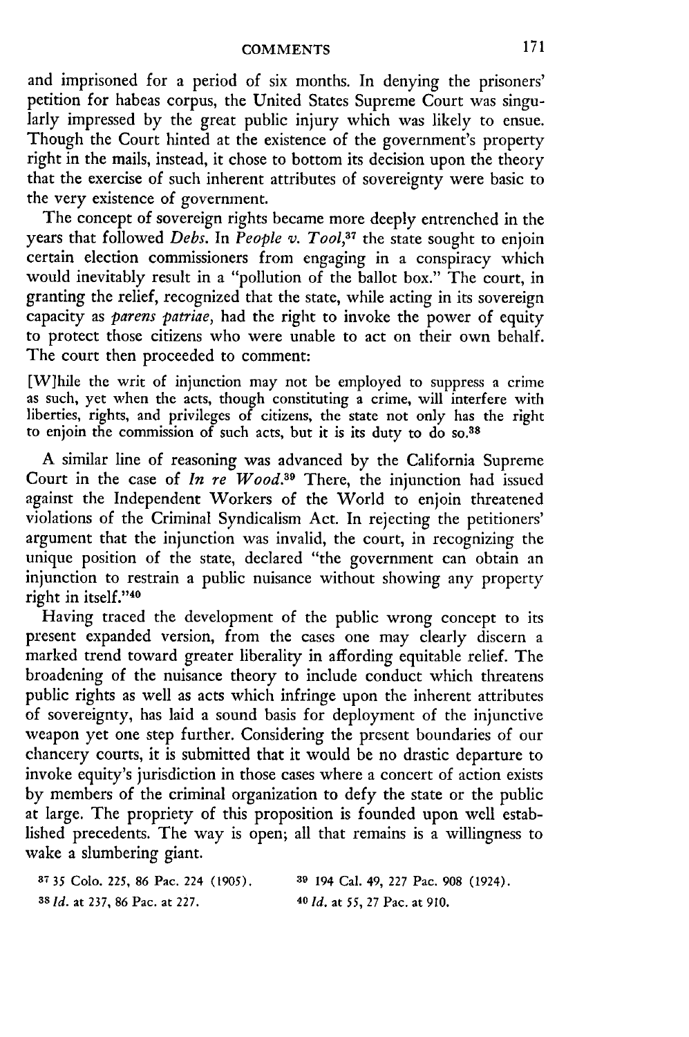and imprisoned for a period of six months. In denying the prisoners' petition for habeas corpus, the United States Supreme Court was singularly impressed by the great public injury which was likely to ensue. Though the Court hinted at the existence of the government's property right in the mails, instead, it chose to bottom its decision upon the theory that the exercise of such inherent attributes of sovereignty were basic to the very existence of government.

The concept of sovereign rights became more deeply entrenched in the years that followed Debs. In People v. Tool,<sup>37</sup> the state sought to enjoin certain election commissioners from engaging in a conspiracy which would inevitably result in a "pollution of the ballot box." The court, in granting the relief, recognized that the state, while acting in its sovereign capacity as *parens patriae,* had the right to invoke the power of equity to protect those citizens who were unable to act on their own behalf. The court then proceeded to comment:

[W]hile the writ of injunction may not be employed to suppress a crime as such, yet when the acts, though constituting a crime, will interfere with liberties, rights, and privileges of citizens, the state not only has the right to enjoin the commission of such acts, but it is its duty to do so.<sup>38</sup>

A similar line of reasoning was advanced by the California Supreme Court in the case of *In re Wood*.<sup>39</sup> There, the injunction had issued against the Independent Workers of the World to enjoin threatened violations of the Criminal Syndicalism Act. In rejecting the petitioners' argument that the injunction was invalid, the court, in recognizing the unique position of the state, declared "the government can obtain an injunction to restrain a public nuisance without showing any property right in itself."40

Having traced the development of the public wrong concept to its present expanded version, from the cases one may clearly discern a marked trend toward greater liberality in affording equitable relief. The broadening of the nuisance theory to include conduct which threatens public rights as well as acts which infringe upon the inherent attributes of sovereignty, has laid a sound basis for deployment of the injunctive weapon yet one step further. Considering the present boundaries of our chancery courts, it is submitted that it would be no drastic departure to invoke equity's jurisdiction in those cases where a concert of action exists by members of the criminal organization to defy the state or the public at large. The propriety of this proposition is founded upon well established precedents. The way is open; all that remains is a willingness to wake a slumbering giant.

| <sup>87</sup> 35 Colo, 225, 86 Pac, 224 (1905),  | <sup>39</sup> 194 Cal. 49, 227 Pac. 908 (1924). |
|--------------------------------------------------|-------------------------------------------------|
| <sup>38</sup> <i>Id.</i> at 237, 86 Pac. at 227. | $40$ <i>ld.</i> at 55, 27 Pac. at 910.          |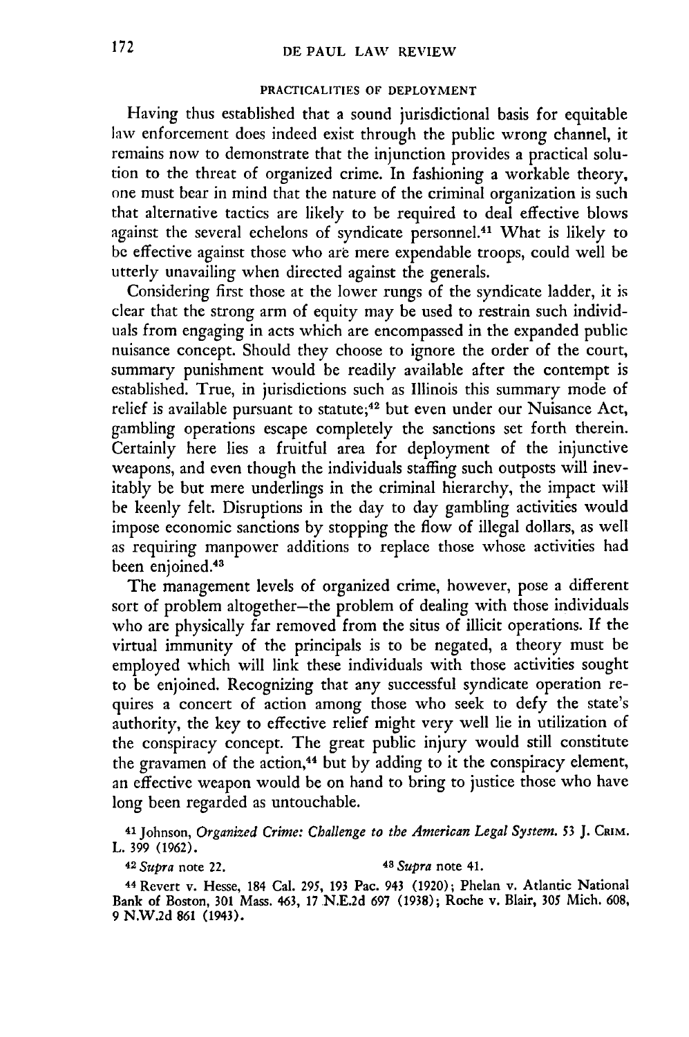#### PRACTICALITIES OF **DEPLOYMENT**

Having thus established that a sound jurisdictional basis for equitable law enforcement does indeed exist through the public wrong channel, it remains now to demonstrate that the injunction provides a practical solution to the threat of organized crime. In fashioning a workable theory, one must bear in mind that the nature of the criminal organization is such that alternative tactics are likely to be required to deal effective blows against the several echelons of syndicate personnel.<sup>41</sup> What is likely to be effective against those who are mere expendable troops, could well be utterly unavailing when directed against the generals.

Considering first those at the lower rungs of the syndicate ladder, it is clear that the strong arm of equity may be used to restrain such individuals from engaging in acts which are encompassed in the expanded public nuisance concept. Should they choose to ignore the order of the court, summary punishment would be readily available after the contempt is established. True, in jurisdictions such as Illinois this summary mode of relief is available pursuant to statute;<sup>42</sup> but even under our Nuisance Act, gambling operations escape completely the sanctions set forth therein. Certainly here lies a fruitful area for deployment of the injunctive weapons, and even though the individuals staffing such outposts will inevitably be but mere underlings in the criminal hierarchy, the impact will be keenly felt. Disruptions in the day to day gambling activities would impose economic sanctions by stopping the flow of illegal dollars, as well as requiring manpower additions to replace those whose activities had been enjoined.<sup>43</sup>

The management levels of organized crime, however, pose a different sort of problem altogether-the problem of dealing with those individuals who are physically far removed from the situs of illicit operations. If the virtual immunity of the principals is to be negated, a theory must be employed which will link these individuals with those activities sought to be enjoined. Recognizing that any successful syndicate operation requires a concert of action among those who seek to defy the state's authority, the key to effective relief might very well lie in utilization of the conspiracy concept. The great public injury would still constitute the gravamen of the action,<sup>44</sup> but by adding to it the conspiracy element, an effective weapon would be on hand to bring to justice those who have long been regarded as untouchable.

**<sup>41</sup>**Johnson, *Organized Crime: Challenge to the American Legal System. 53* J. CRIM. L. 399 (1962).

<sup>42</sup>*Supra* note 22. *48 Supra* note 41.

**<sup>44</sup>**Revert v. Hesse, 184 Cal. 295, 193 Pac. 943 (1920); Phelan v. Atlantic National Bank of Boston, 301 Mass. 463, 17 N.E.2d 697 (1938); Roche v. Blair, 305 Mich. 608, 9 N.W.2d 861 (1943).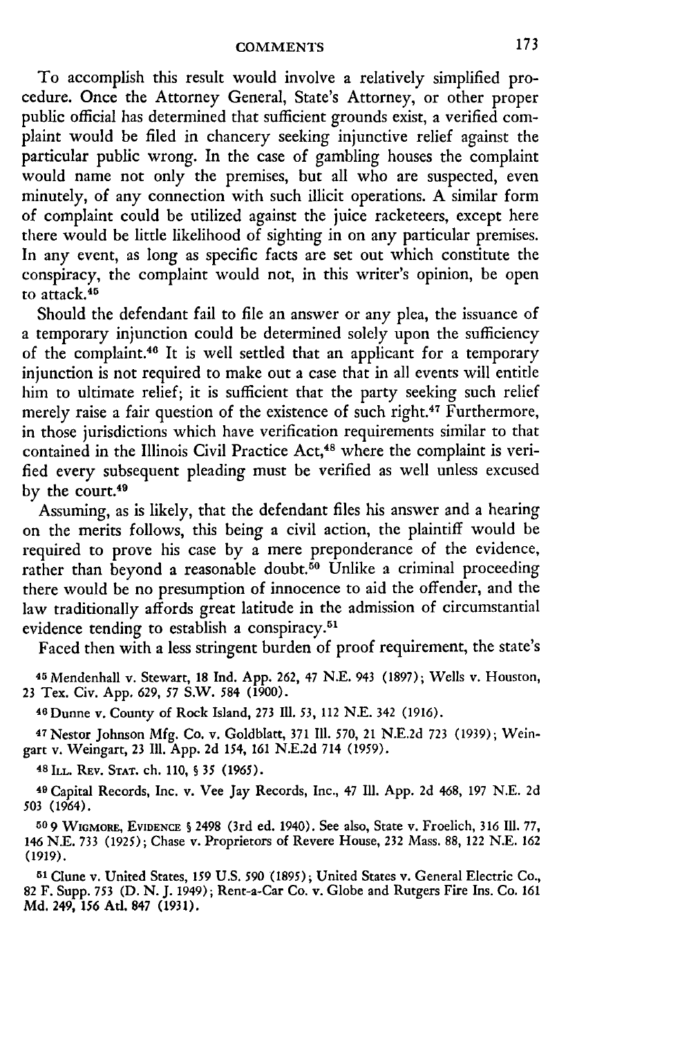To accomplish this result would involve a relatively simplified procedure. Once the Attorney General, State's Attorney, or other proper public official has determined that sufficient grounds exist, a verified complaint would be filed in chancery seeking injunctive relief against the particular public wrong. In the case of gambling houses the complaint would name not only the premises, but all who are suspected, even minutely, of any connection with such illicit operations. A similar form of complaint could be utilized against the juice racketeers, except here there would be little likelihood of sighting in on any particular premises. In any event, as long as specific facts are set out which constitute the conspiracy, the complaint would not, in this writer's opinion, be open to attack. <sup>45</sup>

Should the defendant fail to file an answer or any plea, the issuance of a temporary injunction could be determined solely upon the sufficiency of the complaint.46 It is well settled that an applicant for a temporary injunction is not required to make out a case that in all events will entitle him to ultimate relief; it is sufficient that the party seeking such relief merely raise a fair question of the existence of such right.<sup>47</sup> Furthermore, in those jurisdictions which have verification requirements similar to that contained in the Illinois Civil Practice Act,<sup>48</sup> where the complaint is verified every subsequent pleading must be verified as well unless excused by the court.<sup>49</sup>

Assuming, as is likely, that the defendant files his answer and a hearing on the merits follows, this being a civil action, the plaintiff would be required to prove his case by a mere preponderance of the evidence, rather than beyond a reasonable doubt.<sup>50</sup> Unlike a criminal proceeding there would be no presumption of innocence to aid the offender, and the law traditionally affords great latitude in the admission of circumstantial evidence tending to establish a conspiracy.<sup>51</sup>

Faced then with a less stringent burden of proof requirement, the state's

**<sup>45</sup>**Mendenhall v. Stewart, 18 Ind. App. 262, 47 N.E. 943 (1897); Wells v. Houston, 23 Tex. Civ. App. 629, *57* S.W. 584 **(1900).**

<sup>4</sup> 6 Dunne v. County of Rock Island, 273 M. *53,* 112 **N.E.** 342 (1916).

**47** Nestor Johnson **Mfg. Co.** v. Goldblatt, **371 111.** 570, 21 **N.E.2d** 723 (1939); Weingart **v.** Weingart, 23 **111.** App. **2d** 154, 161 N.E.2d 714 (1959). **<sup>4</sup> <sup>8</sup> ILL. REV. STAT.** ch. **110,** § 35 (1965).

**<sup>49</sup>**Capital Records, Inc. **v. Vee Jay Records,** Inc., **47 11. App. 2d** 468, 197 N.E. **2d** 503 (1964).

**50 9 WIGMORE, EVIDENCE §** 2498 **(3rd ed.** 1940). See **also,** State v. Froelich, 316 Ill. **77,** 146 **N.E.** 733 (1925); Chase v. Proprietors of Revere House, **232** Mass. 88, 122 N.E. **162 (1919).**

**<sup>51</sup>**Clune v. United States, **159** U.S. **590** (1895); United States v. General Electric Co., **82** F. Supp. **753 (D.** *N.* **J.** 1949); Rent-a-Car Co. v. Globe and Rutgers Fire Ins. Co. 161 Md. 249, 156 Atl. 847 (1931).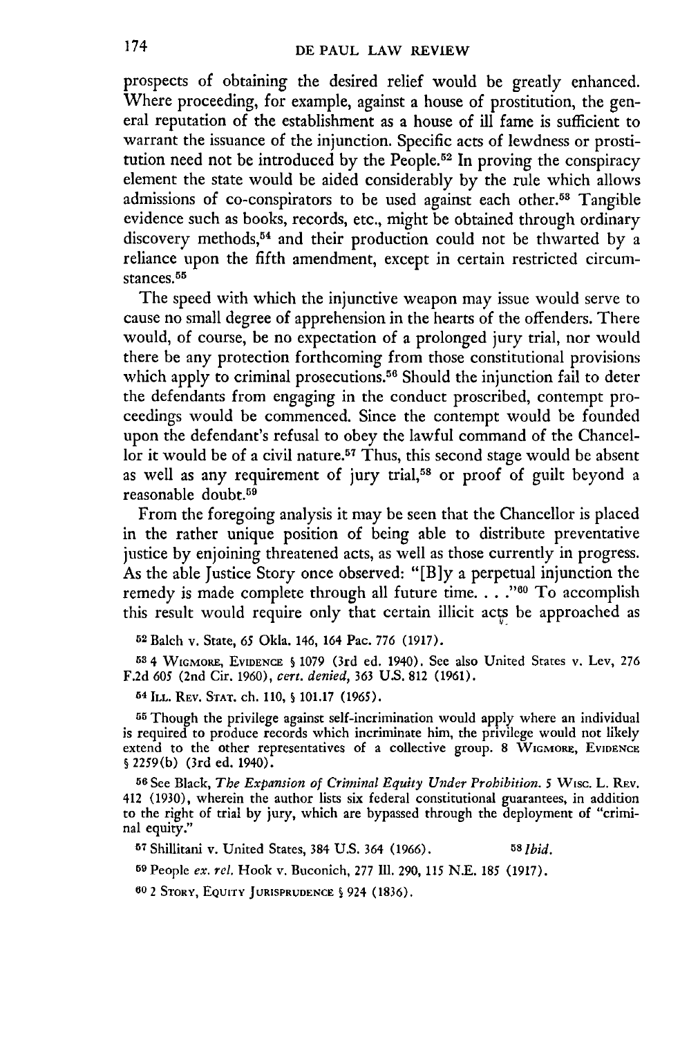prospects of obtaining the desired relief would be greatly enhanced. Where proceeding, for example, against a house of prostitution, the general reputation of the establishment as a house of ill fame is sufficient to warrant the issuance of the injunction. Specific acts of lewdness or prostitution need not be introduced **by** the People.52 In proving the conspiracy element the state would be aided considerably **by** the rule which allows admissions of co-conspirators to be used against each other.53 Tangible evidence such as books, records, etc., might be obtained through ordinary discovery methods, 54 and their production could not be thwarted **by** a reliance upon the fifth amendment, except in certain restricted circumstances.<sup>55</sup>

The speed with which the injunctive weapon may issue would serve to cause no small degree of apprehension in the hearts of the offenders. There would, of course, be no expectation of a prolonged jury trial, nor would there be any protection forthcoming from those constitutional provisions which apply to criminal prosecutions.<sup>56</sup> Should the injunction fail to deter the defendants from engaging in the conduct proscribed, contempt proceedings would be commenced. Since the contempt would be founded upon the defendant's refusal to obey the lawful command of the Chancellor it would be of a civil nature.<sup>57</sup> Thus, this second stage would be absent as well as any requirement of jury trial,<sup>58</sup> or proof of guilt beyond a reasonable doubt.<sup>59</sup>

From the foregoing analysis it may be seen that the Chancellor is placed in the rather unique position of being able to distribute preventative justice **by** enjoining threatened acts, as well as those currently in progress. As the able justice Story once observed: **"[B]y** a perpetual injunction the remedy is made complete through all future time. . . .<sup>760</sup> To accomplish this result would require only that certain illicit acts be approached as

**52** Balch v. State, *65* Okla. 146, 164 Pac. **776 (1917).**

**<sup>53</sup>**4 **WGMORE, EVIDENCE § 1079** (3rd ed. 1940). See also United States v. Lev, **276 F.2d** *605* (2nd Cir. **1960),** *cert. denied,* **363 U.S. 812 (1961).**

**54 ILL. REv. STAT.** ch. **110, S 101.17 (1965).**

**55** Though the privilege against self-incrimination would apply where an individual is required to produce records which incriminate him, the privilege would not likely extend to the other representatives of a collective group. **8** WIGMORu, **EVIDENCE** § **2259(b)** (3rd ed. 1940).

**56 See** Black, *The Expansion of Criminal Equity Under Prohibition. 5* Wisc. L. **REv.** 412 **(1930),** wherein the author lists six federal constitutional guarantees, in addition to the right of trial by jury, which are bypassed through the deployment of "criminal equity."

**<sup>57</sup>**Shillitani v. United States, 384 **U.S.** 364 (1966). **58** *Ibid.*

**<sup>59</sup>**People *ex.* rel. Hook v. Buconich, 277 **I11.** 290, 115 N.E. **185** (1917).

**60** 2 STORY, **EQUrTY JURISPRUDENCE 5** 924 (1836).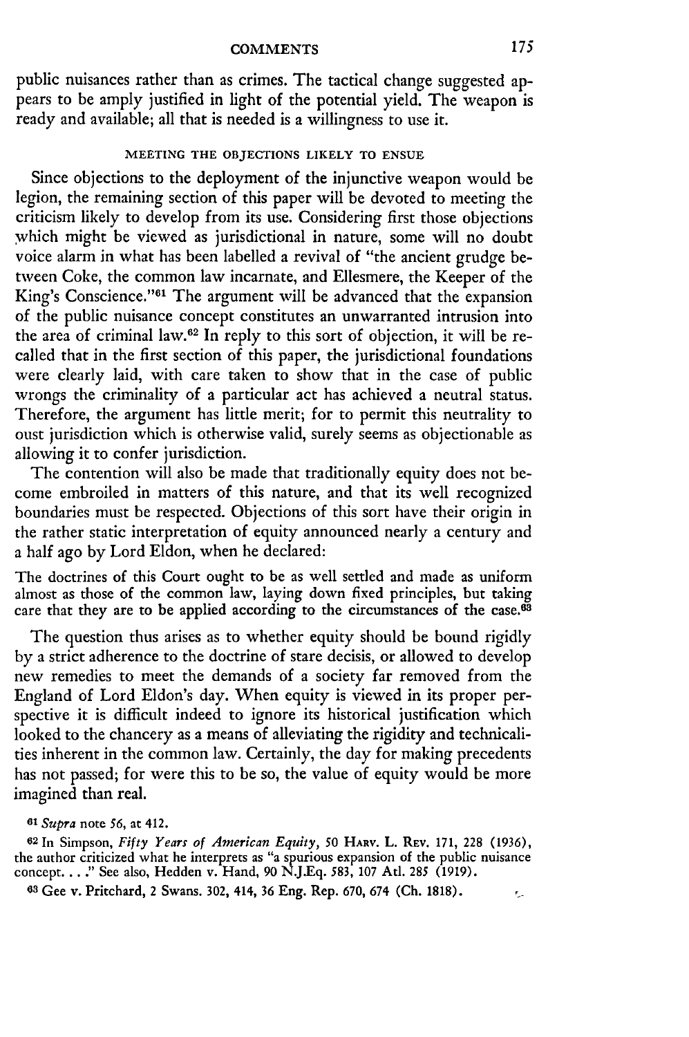public nuisances rather than as crimes. The tactical change suggested appears to be amply justified in light of the potential yield. The weapon is ready and available; all that is needed is a willingness to use it.

#### **MEETING THE OBJECTIONS LIKELY TO ENSUE**

Since objections to the deployment of the injunctive weapon would be legion, the remaining section of this paper will be devoted to meeting the criticism likely to develop from its use. Considering first those objections which might be viewed as jurisdictional in nature, some will no doubt voice alarm in what has been labelled a revival of "the ancient grudge betveen Coke, the common law incarnate, and Ellesmere, the Keeper of the King's Conscience."<sup>61</sup> The argument will be advanced that the expansion of the public nuisance concept constitutes an unwarranted intrusion into the area of criminal law.62 In reply to this sort of objection, it will be recalled that in the first section of this paper, the jurisdictional foundations were clearly laid, with care taken to show that in the case of public wrongs the criminality of a particular act has achieved a neutral status. Therefore, the argument has little merit; for to permit this neutrality to oust jurisdiction which is otherwise valid, surely seems as objectionable as allowing it to confer jurisdiction.

The contention will also be made that traditionally equity does not become embroiled in matters of this nature, and that its well recognized boundaries must be respected. Objections of this sort have their origin in the rather static interpretation of equity announced nearly a century and a half ago **by** Lord Eldon, when he declared:

The doctrines of this Court ought to be as well settled and made as uniform almost as those of the common law, laying down fixed principles, but taking care that they are to be applied according to the circumstances of the case.<sup>63</sup>

The question thus arises as to whether equity should be bound rigidly by a strict adherence to the doctrine of stare decisis, or allowed to develop new remedies to meet the demands of a society far removed from the England of Lord Eldon's day. When equity is viewed in its proper perspective it is difficult indeed to ignore its historical justification which looked to the chancery as a means of alleviating the rigidity and technicalities inherent in the common law. Certainly, the day for making precedents has not passed; for were this to be so, the value of equity would be more imagined than real.

**<sup>61</sup>***Supra* note *56,* at 412.

**<sup>62</sup>**In Simpson, *Fifty Years of American Equity, 50* **HARV.** L. REv. 171, 228 **(1936),** the author criticized what he interprets as "a spurious expansion of the public nuisance concept. .. **."** See also, Hedden v. Hand, 90 N.J.Eq. **583, 107** Atl. **285 (1919).**

**63** Gee v. Pritchard, 2 Swans. 302, 414, 36 Eng. Rep. 670, 674 (Ch. 1818).

 $\epsilon_{\rm m}$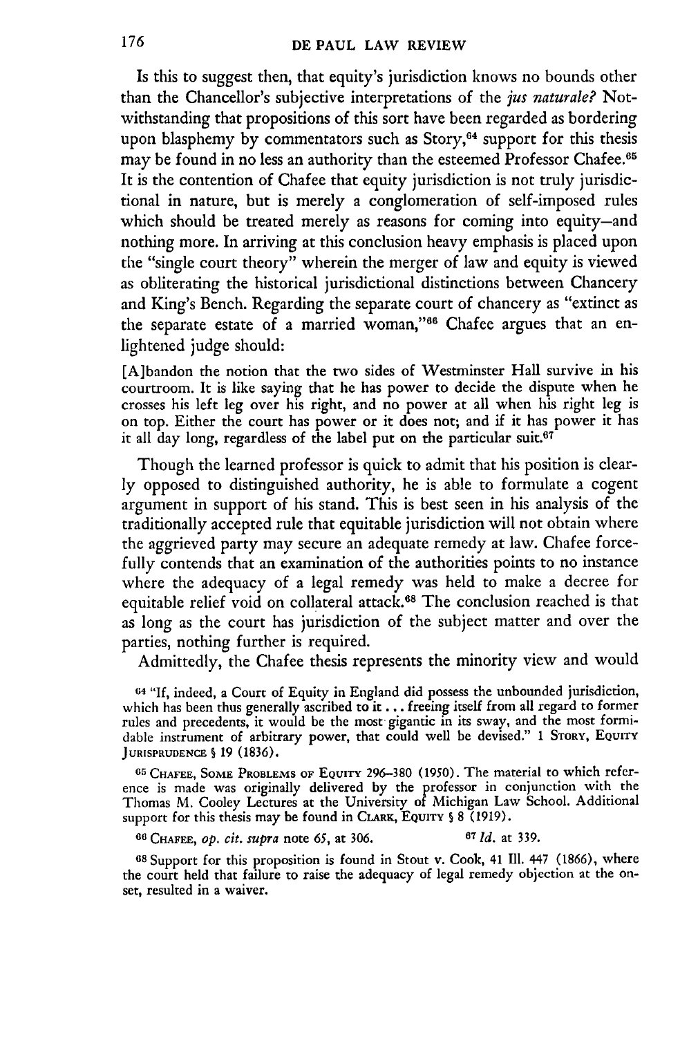Is this to suggest then, that equity's jurisdiction knows no bounds other than the Chancellor's subjective interpretations of the *jus naturale?* Notwithstanding that propositions of this sort have been regarded as bordering upon blasphemy by commentators such as Story, $64$  support for this thesis may be found in no less an authority than the esteemed Professor Chafee.<sup>65</sup> It is the contention of Chafee that equity jurisdiction is not truly jurisdictional in nature, but is merely a conglomeration of self-imposed rules which should be treated merely as reasons for coming into equity-and nothing more. In arriving at this conclusion heavy emphasis is placed upon the "single court theory" wherein the merger of law and equity is viewed as obliterating the historical jurisdictional distinctions between Chancery and King's Bench. Regarding the separate court of chancery as "extinct as the separate estate of a married woman,"<sup>66</sup> Chafee argues that an enlightened judge should:

[A]bandon the notion that the two sides of Westminster Hall survive in his courtroom. It is like saying that he has power to decide the dispute when he crosses his left leg over his right, and no power at all when his right leg is on top. Either the court has power or it does not; and if it has power it has it all day long, regardless of the label put on the particular suit. $67$ 

Though the learned professor is quick to admit that his position is clearly opposed to distinguished authority, he is able to formulate a cogent argument in support of his stand. This is best seen in his analysis of the traditionally accepted rule that equitable jurisdiction will not obtain where the aggrieved party may secure an adequate remedy at law. Chafee forcefully contends that an examination of the authorities points to no instance where the adequacy of a legal remedy was held to make a decree for equitable relief void on collateral attack.<sup>68</sup> The conclusion reached is that as long as the court has jurisdiction of the subject matter and over the parties, nothing further is required.

Admittedly, the Chafee thesis represents the minority view and would

<sup>64</sup>"If, indeed, a Court of Equity in England did possess the unbounded jurisdiction, which has been thus generally ascribed to it **.** .. freeing itself from all regard to former rules and precedents, it would be the most gigantic in its sway, and the most formidable instrument of arbitrary power, that could well be devised." 1 STORY, EQUITY **JURISPRUDENCE S** 19 (1836).

**65** CHAFEE, SOME PROBLEMS OF EQUITY 296-380 (1950). The material to which reference is made was originally delivered **by** the professor in conjunction with the Thomas M. Cooley Lectures at the University of Michigan Law School. Additional support for this thesis may be found in CLARK, EQUITY  $\S 8$  (1919).

**66 CHAFEE,** *Op. cit. supra* note *65,* at 306. **67** *1d.* at 339.

**6s** Support for this proposition is found in Stout v. Cook, 41 **Ill.** 447 (1866), where the court **held** that failure to raise the adequacy of legal remedy objection at the onset, resulted in a waiver.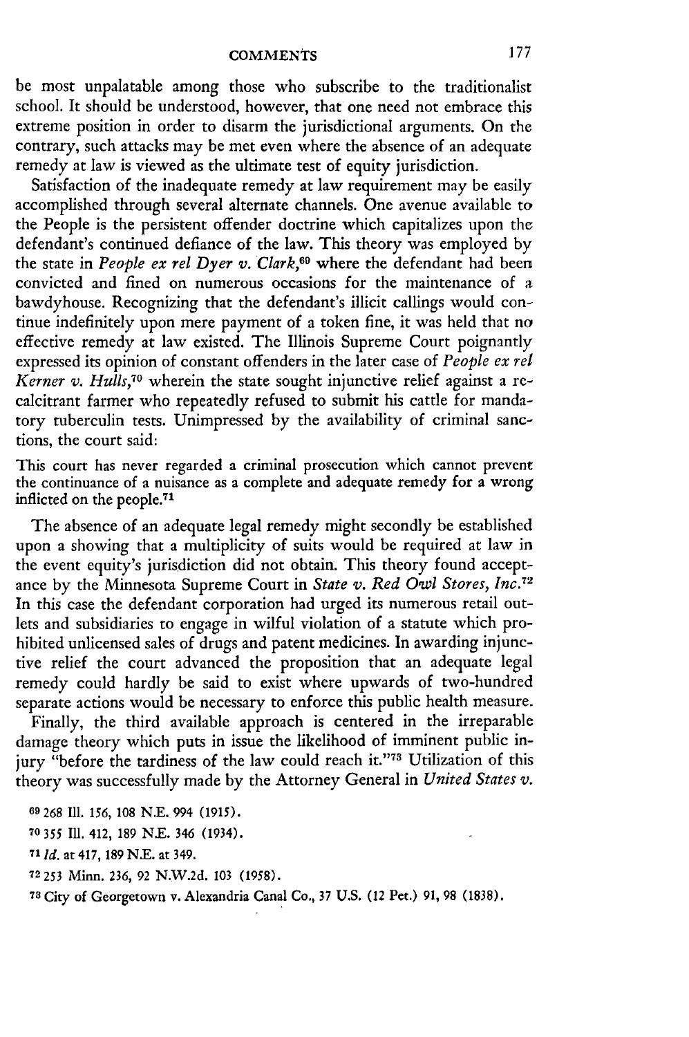be most unpalatable among those who subscribe to the traditionalist school. It should be understood, however, that one need not embrace this extreme position in order to disarm the jurisdictional arguments. On the contrary, such attacks may be met even where the absence of an adequate remedy at law is viewed as the ultimate test of equity jurisdiction.

Satisfaction of the inadequate remedy at law requirement may be easily accomplished through several alternate channels. One avenue available to the People is the persistent offender doctrine which capitalizes upon the defendant's continued defiance of the law. This theory was employed by the state in *People ex rel Dyer v. Clark,69* where the defendant had been convicted and fined on numerous occasions for the maintenance of a bawdyhouse. Recognizing that the defendant's illicit callings would continue indefinitely upon mere payment of a token fine, it was held that no effective remedy at law existed. The Illinois Supreme Court poignantly expressed its opinion of constant offenders in the later case of *People ex rel Kerner v. Hulls,70* wherein the state sought injunctive relief against a rccalcitrant farmer who repeatedly refused to submit his cattle for mandatory tuberculin tests. Unimpressed by the availability of criminal sanctions, the court said:

This court has never regarded a criminal prosecution which cannot prevent the continuance of a nuisance as a complete and adequate remedy for a wrong inflicted on the people.<sup>71</sup>

The absence of an adequate legal remedy might secondly be established upon a showing that a multiplicity of suits would be required at law in the event equity's jurisdiction did not obtain. This theory found acceptance by the Minnesota Supreme Court in *State v. Red Owl Stores, Inc.<sup>72</sup>* In this case the defendant corporation had urged its numerous retail outlets and subsidiaries to engage in wilful violation of a statute which prohibited unlicensed sales of drugs and patent medicines. In awarding injunctive relief the court advanced the proposition that an adequate legal remedy could hardly be said to exist where upwards of two-hundred separate actions would be necessary to enforce this public health measure.

Finally, the third available approach is centered in the irreparable damage theory which puts in issue the likelihood of imminent public injury "before the tardiness of the law could reach it."73 Utilization of this theory was successfully made by the Attorney General in *United States v.*

268 **111** 156, 108 N.E. 994 (1915). 355 **TH.** 412, 189 N.E. 346 (1934). **1 Id.** at 417, 189 N.E. at 349. 72 253 Minn. 236, 92 N.W.2d. 103 (1958). City of Georgetown v. Alexandria Canal Co., 37 U.S. (12 Pet.) 91, 98 (1838).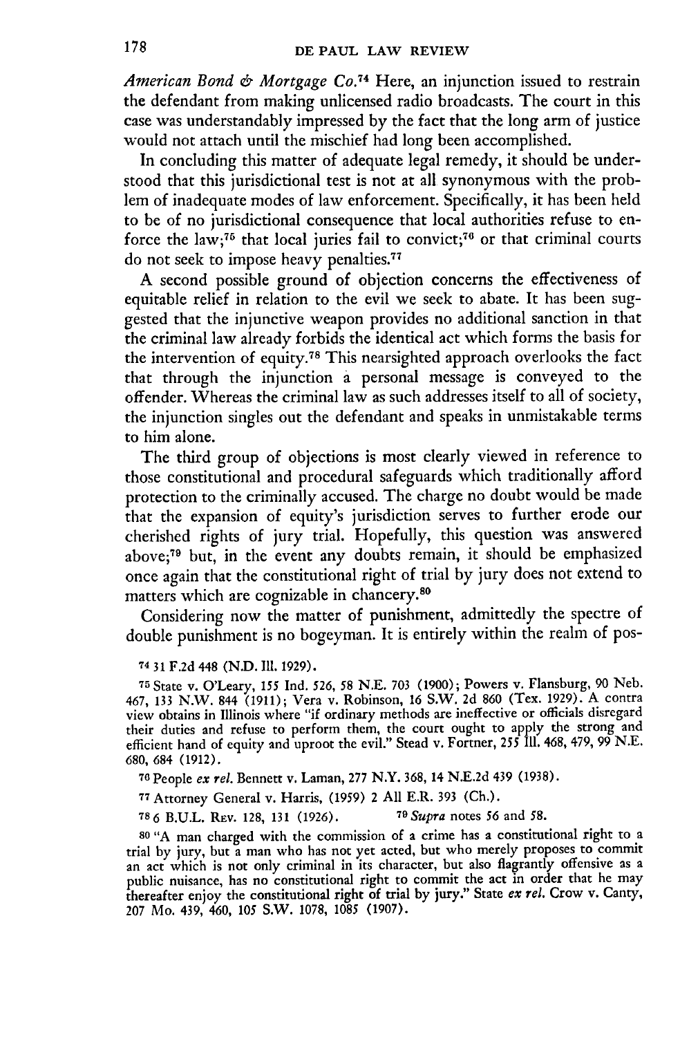*American Bond & Mortgage Co. <sup>74</sup>*Here, an injunction issued to restrain the defendant from making unlicensed radio broadcasts. The court in this case was understandably impressed by the fact that the long arm of justice would not attach until the mischief had long been accomplished.

In concluding this matter of adequate legal remedy, it should be understood that this jurisdictional test is not at all synonymous with the problem of inadequate modes of law enforcement. Specifically, it has been held to be of no jurisdictional consequence that local authorities refuse to enforce the law;<sup>75</sup> that local juries fail to convict;<sup>76</sup> or that criminal courts do not seek to impose heavy penalties.<sup>77</sup>

A second possible ground of objection concerns the effectiveness of equitable relief in relation to the evil we seek to abate. It has been suggested that the injunctive weapon provides no additional sanction in that the criminal law already forbids the identical act which forms the basis for the intervention of equity.78 This nearsighted approach overlooks the fact that through the injunction a personal message is conveyed to the offender. Whereas the criminal law as such addresses itself to all of society, the injunction singles out the defendant and speaks in unmistakable terms to him alone.

The third group of objections is most clearly viewed in reference to those constitutional and procedural safeguards which traditionally afford protection to the criminally accused. The charge no doubt would be made that the expansion of equity's jurisdiction serves to further erode our cherished rights of jury trial. Hopefully, this question was answered above;79 but, in the event any doubts remain, it should be emphasized once again that the constitutional right of trial by jury does not extend to matters which are cognizable in chancery.<sup>80</sup>

Considering now the matter of punishment, admittedly the spectre of double punishment is no bogeyman. It is entirely within the realm of pos-

**74** 31 F.2d 448 **(N.D. 111.** 1929).

**<sup>75</sup>**State v. O'Leary, 155 Ind. 526, 58 N.E. 703 (1900); Powers v. Flansburg, 90 Neb. 467, 133 N.W. 844 (1911); Vera v. Robinson, 16 S.W. 2d 860 (Tex. 1929). A contra view obtains in Illinois where "if ordinary methods are ineffective or officials disregard their duties and refuse to perform them, the court ought to apply the strong and efficient hand of equity and uproot the evil." Stead v. Fortner, 255 Ill. 468, 479, 99 N.E. 680, 684 (1912).

<sup>76</sup> People *ex rel.* Bennett v. Laman, 277 N.Y. 368, 14 N.E.2d 439 (1938)

**<sup>77</sup>**Attorney General v. Harris, (1959) 2 All E.R. 393 (Ch.).

**786** B.U.L. REv. 128, 131 (1926). *<sup>7</sup> OSupra* notes *56* and **58.**

**<sup>80</sup>**"A man charged with the commission of a crime has a constitutional right to a trial by jury, but a man who has not yet acted, but who merely proposes to commit an act which is not only criminal in its character, but also flagrantly offensive as a public nuisance, has no constitutional right to commit the act in order that he may thereafter enjoy the constitutional right of trial by jury." State *ex rel.* Crow v. Canty, 207 Mo. 439, 460, 105 S.W. 1078, 1085 (1907).